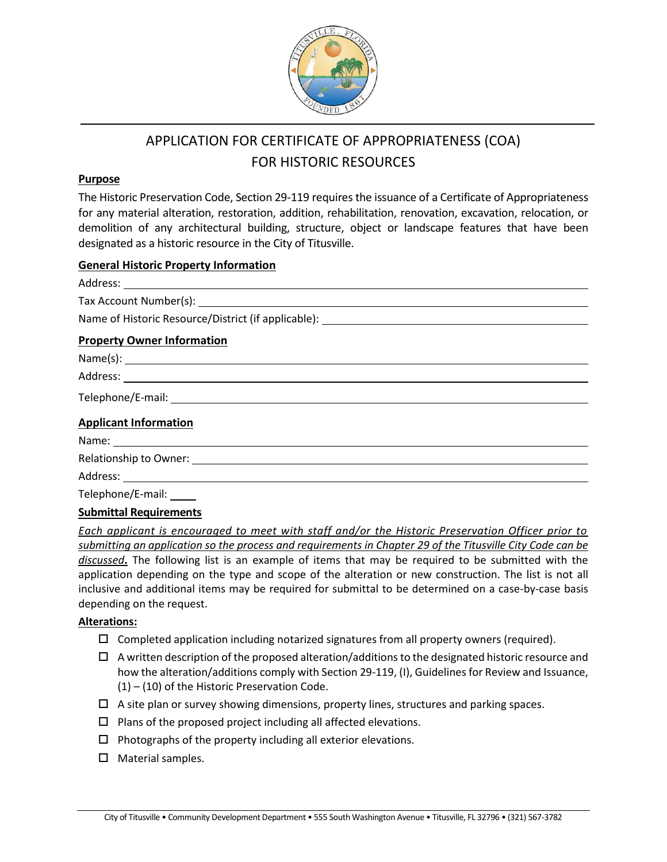

# APPLICATION FOR CERTIFICATE OF APPROPRIATENESS (COA) FOR HISTORIC RESOURCES

#### **Purpose**

The Historic Preservation Code, Section 29-119 requires the issuance of a Certificate of Appropriateness for any material alteration, restoration, addition, rehabilitation, renovation, excavation, relocation, or demolition of any architectural building, structure, object or landscape features that have been designated as a historic resource in the City of Titusville.

### **General Historic Property Information**

| <b>Property Owner Information</b> |
|-----------------------------------|
|                                   |
|                                   |
|                                   |
| <b>Applicant Information</b>      |
|                                   |
|                                   |
|                                   |
| Telephone/E-mail: _____           |
| <b>Submittal Requirements</b>     |

*Each applicant is encouraged to meet with staff and/or the Historic Preservation Officer prior to submitting an application so the process and requirements in Chapter 29 of the Titusville City Code can be discussed***.** The following list is an example of items that may be required to be submitted with the application depending on the type and scope of the alteration or new construction. The list is not all inclusive and additional items may be required for submittal to be determined on a case-by-case basis depending on the request.

## **Alterations:**

- $\Box$  Completed application including notarized signatures from all property owners (required).
- $\Box$  A written description of the proposed alteration/additions to the designated historic resource and how the alteration/additions comply with Section 29-119, (I), Guidelines for Review and Issuance, (1) – (10) of the Historic Preservation Code.
- $\Box$  A site plan or survey showing dimensions, property lines, structures and parking spaces.
- $\square$  Plans of the proposed project including all affected elevations.
- $\Box$  Photographs of the property including all exterior elevations.
- $\Box$  Material samples.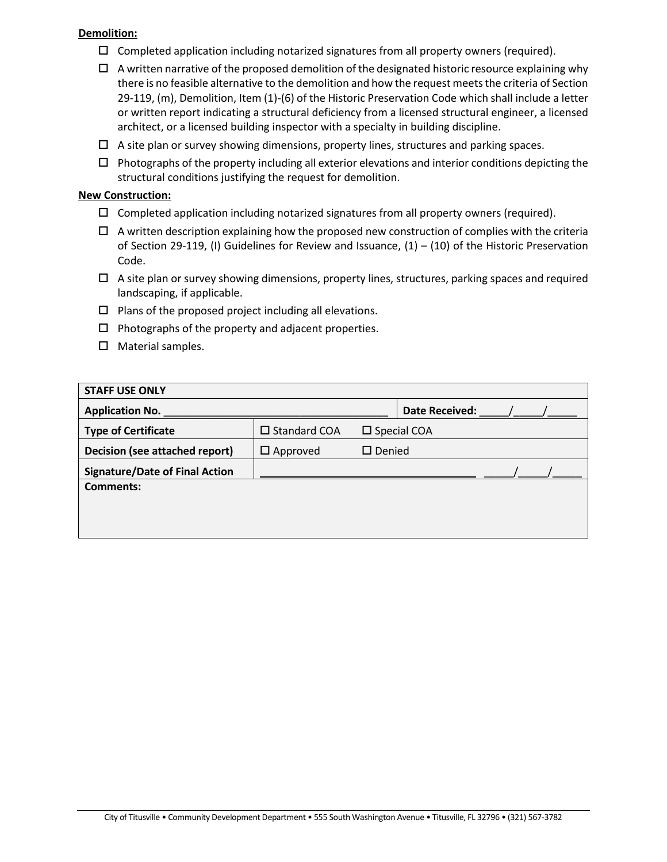### **Demolition:**

- $\Box$  Completed application including notarized signatures from all property owners (required).
- $\Box$  A written narrative of the proposed demolition of the designated historic resource explaining why there is no feasible alternative to the demolition and how the request meets the criteria of Section 29-119, (m), Demolition, Item (1)-(6) of the Historic Preservation Code which shall include a letter or written report indicating a structural deficiency from a licensed structural engineer, a licensed architect, or a licensed building inspector with a specialty in building discipline.
- $\Box$  A site plan or survey showing dimensions, property lines, structures and parking spaces.
- $\Box$  Photographs of the property including all exterior elevations and interior conditions depicting the structural conditions justifying the request for demolition.

## **New Construction:**

- $\Box$  Completed application including notarized signatures from all property owners (required).
- $\Box$  A written description explaining how the proposed new construction of complies with the criteria of Section 29-119, (I) Guidelines for Review and Issuance,  $(1) - (10)$  of the Historic Preservation Code.
- $\Box$  A site plan or survey showing dimensions, property lines, structures, parking spaces and required landscaping, if applicable.
- $\square$  Plans of the proposed project including all elevations.
- $\Box$  Photographs of the property and adjacent properties.
- $\Box$  Material samples.

| <b>STAFF USE ONLY</b>                 |                        |               |                       |  |  |
|---------------------------------------|------------------------|---------------|-----------------------|--|--|
| <b>Application No.</b>                |                        |               | <b>Date Received:</b> |  |  |
| <b>Type of Certificate</b>            | $\square$ Standard COA |               | $\square$ Special COA |  |  |
| Decision (see attached report)        | $\Box$ Approved        | $\Box$ Denied |                       |  |  |
| <b>Signature/Date of Final Action</b> |                        |               |                       |  |  |
| Comments:                             |                        |               |                       |  |  |
|                                       |                        |               |                       |  |  |
|                                       |                        |               |                       |  |  |